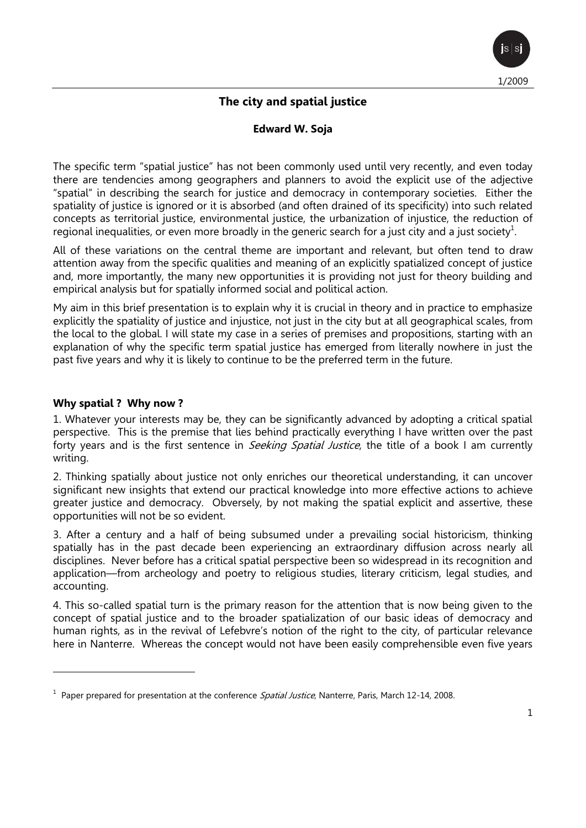

# **The city and spatial justice**

#### **Edward W. Soja**

The specific term "spatial justice" has not been commonly used until very recently, and even today there are tendencies among geographers and planners to avoid the explicit use of the adjective "spatial" in describing the search for justice and democracy in contemporary societies. Either the spatiality of justice is ignored or it is absorbed (and often drained of its specificity) into such related concepts as territorial justice, environmental justice, the urbanization of injustice, the reduction of regional inequalities, or even more broadly in the generic search for a just city and a just society<sup>1</sup>.

All of these variations on the central theme are important and relevant, but often tend to draw attention away from the specific qualities and meaning of an explicitly spatialized concept of justice and, more importantly, the many new opportunities it is providing not just for theory building and empirical analysis but for spatially informed social and political action.

My aim in this brief presentation is to explain why it is crucial in theory and in practice to emphasize explicitly the spatiality of justice and injustice, not just in the city but at all geographical scales, from the local to the global. I will state my case in a series of premises and propositions, starting with an explanation of why the specific term spatial justice has emerged from literally nowhere in just the past five years and why it is likely to continue to be the preferred term in the future.

#### **Why spatial ? Why now ?**

 $\overline{a}$ 

1. Whatever your interests may be, they can be significantly advanced by adopting a critical spatial perspective. This is the premise that lies behind practically everything I have written over the past forty years and is the first sentence in *Seeking Spatial Justice*, the title of a book I am currently writing.

2. Thinking spatially about justice not only enriches our theoretical understanding, it can uncover significant new insights that extend our practical knowledge into more effective actions to achieve greater justice and democracy. Obversely, by not making the spatial explicit and assertive, these opportunities will not be so evident.

3. After a century and a half of being subsumed under a prevailing social historicism, thinking spatially has in the past decade been experiencing an extraordinary diffusion across nearly all disciplines. Never before has a critical spatial perspective been so widespread in its recognition and application—from archeology and poetry to religious studies, literary criticism, legal studies, and accounting.

4. This so-called spatial turn is the primary reason for the attention that is now being given to the concept of spatial justice and to the broader spatialization of our basic ideas of democracy and human rights, as in the revival of Lefebvre's notion of the right to the city, of particular relevance here in Nanterre. Whereas the concept would not have been easily comprehensible even five years

<sup>&</sup>lt;sup>1</sup> Paper prepared for presentation at the conference Spatial Justice, Nanterre, Paris, March 12-14, 2008.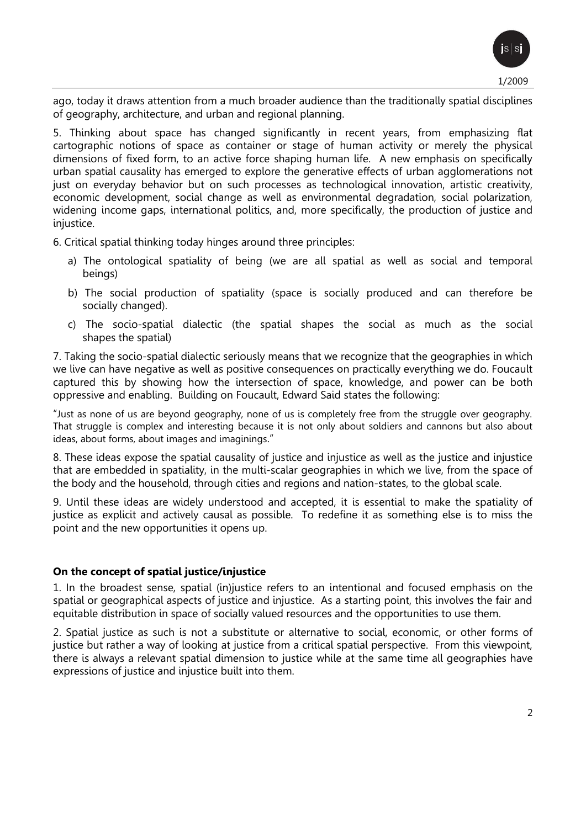ago, today it draws attention from a much broader audience than the traditionally spatial disciplines of geography, architecture, and urban and regional planning.

5. Thinking about space has changed significantly in recent years, from emphasizing flat cartographic notions of space as container or stage of human activity or merely the physical dimensions of fixed form, to an active force shaping human life. A new emphasis on specifically urban spatial causality has emerged to explore the generative effects of urban agglomerations not just on everyday behavior but on such processes as technological innovation, artistic creativity, economic development, social change as well as environmental degradation, social polarization, widening income gaps, international politics, and, more specifically, the production of justice and injustice.

6. Critical spatial thinking today hinges around three principles:

- a) The ontological spatiality of being (we are all spatial as well as social and temporal beings)
- b) The social production of spatiality (space is socially produced and can therefore be socially changed).
- c) The socio-spatial dialectic (the spatial shapes the social as much as the social shapes the spatial)

7. Taking the socio-spatial dialectic seriously means that we recognize that the geographies in which we live can have negative as well as positive consequences on practically everything we do. Foucault captured this by showing how the intersection of space, knowledge, and power can be both oppressive and enabling. Building on Foucault, Edward Said states the following:

"Just as none of us are beyond geography, none of us is completely free from the struggle over geography. That struggle is complex and interesting because it is not only about soldiers and cannons but also about ideas, about forms, about images and imaginings."

8. These ideas expose the spatial causality of justice and injustice as well as the justice and injustice that are embedded in spatiality, in the multi-scalar geographies in which we live, from the space of the body and the household, through cities and regions and nation-states, to the global scale.

9. Until these ideas are widely understood and accepted, it is essential to make the spatiality of justice as explicit and actively causal as possible. To redefine it as something else is to miss the point and the new opportunities it opens up.

### **On the concept of spatial justice/injustice**

1. In the broadest sense, spatial (in)justice refers to an intentional and focused emphasis on the spatial or geographical aspects of justice and injustice. As a starting point, this involves the fair and equitable distribution in space of socially valued resources and the opportunities to use them.

2. Spatial justice as such is not a substitute or alternative to social, economic, or other forms of justice but rather a way of looking at justice from a critical spatial perspective. From this viewpoint, there is always a relevant spatial dimension to justice while at the same time all geographies have expressions of justice and injustice built into them.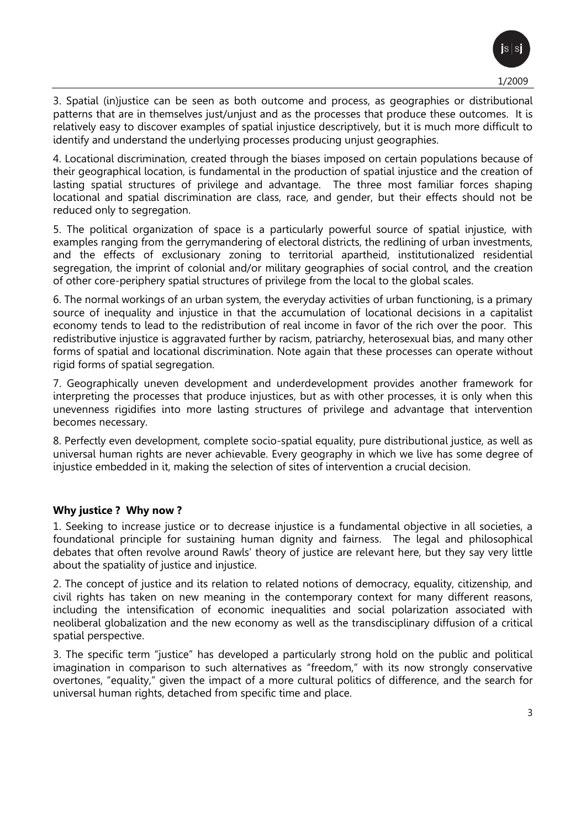3. Spatial (in)justice can be seen as both outcome and process, as geographies or distributional patterns that are in themselves just/unjust and as the processes that produce these outcomes. It is relatively easy to discover examples of spatial injustice descriptively, but it is much more difficult to identify and understand the underlying processes producing unjust geographies.

4. Locational discrimination, created through the biases imposed on certain populations because of their geographical location, is fundamental in the production of spatial injustice and the creation of lasting spatial structures of privilege and advantage. The three most familiar forces shaping locational and spatial discrimination are class, race, and gender, but their effects should not be reduced only to segregation.

5. The political organization of space is a particularly powerful source of spatial injustice, with examples ranging from the gerrymandering of electoral districts, the redlining of urban investments, and the effects of exclusionary zoning to territorial apartheid, institutionalized residential segregation, the imprint of colonial and/or military geographies of social control, and the creation of other core-periphery spatial structures of privilege from the local to the global scales.

6. The normal workings of an urban system, the everyday activities of urban functioning, is a primary source of inequality and injustice in that the accumulation of locational decisions in a capitalist economy tends to lead to the redistribution of real income in favor of the rich over the poor. This redistributive injustice is aggravated further by racism, patriarchy, heterosexual bias, and many other forms of spatial and locational discrimination. Note again that these processes can operate without rigid forms of spatial segregation.

7. Geographically uneven development and underdevelopment provides another framework for interpreting the processes that produce injustices, but as with other processes, it is only when this unevenness rigidifies into more lasting structures of privilege and advantage that intervention becomes necessary.

8. Perfectly even development, complete socio-spatial equality, pure distributional justice, as well as universal human rights are never achievable. Every geography in which we live has some degree of injustice embedded in it, making the selection of sites of intervention a crucial decision.

## **Why justice ? Why now ?**

1. Seeking to increase justice or to decrease injustice is a fundamental objective in all societies, a foundational principle for sustaining human dignity and fairness. The legal and philosophical debates that often revolve around Rawls' theory of justice are relevant here, but they say very little about the spatiality of justice and injustice.

2. The concept of justice and its relation to related notions of democracy, equality, citizenship, and civil rights has taken on new meaning in the contemporary context for many different reasons, including the intensification of economic inequalities and social polarization associated with neoliberal globalization and the new economy as well as the transdisciplinary diffusion of a critical spatial perspective.

3. The specific term "justice" has developed a particularly strong hold on the public and political imagination in comparison to such alternatives as "freedom," with its now strongly conservative overtones, "equality," given the impact of a more cultural politics of difference, and the search for universal human rights, detached from specific time and place.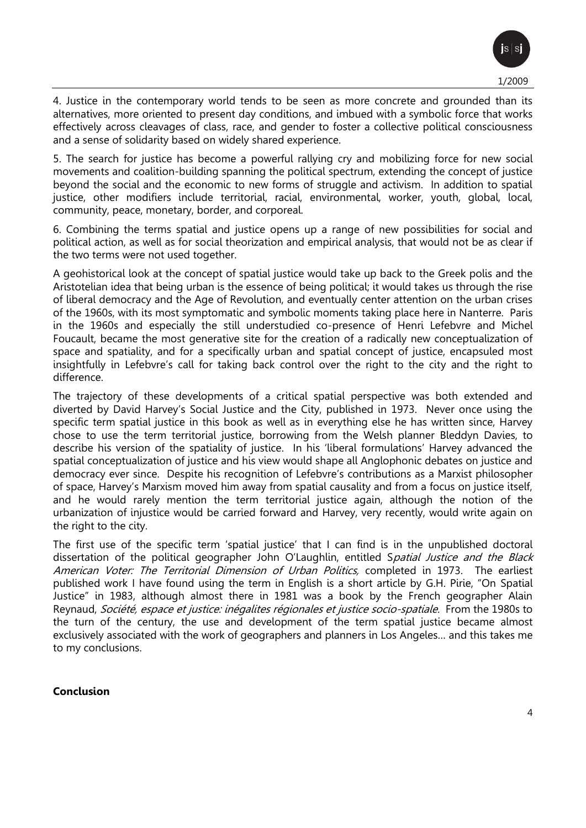4. Justice in the contemporary world tends to be seen as more concrete and grounded than its alternatives, more oriented to present day conditions, and imbued with a symbolic force that works effectively across cleavages of class, race, and gender to foster a collective political consciousness and a sense of solidarity based on widely shared experience.

5. The search for justice has become a powerful rallying cry and mobilizing force for new social movements and coalition-building spanning the political spectrum, extending the concept of justice beyond the social and the economic to new forms of struggle and activism. In addition to spatial justice, other modifiers include territorial, racial, environmental, worker, youth, global, local, community, peace, monetary, border, and corporeal.

6. Combining the terms spatial and justice opens up a range of new possibilities for social and political action, as well as for social theorization and empirical analysis, that would not be as clear if the two terms were not used together.

A geohistorical look at the concept of spatial justice would take up back to the Greek polis and the Aristotelian idea that being urban is the essence of being political; it would takes us through the rise of liberal democracy and the Age of Revolution, and eventually center attention on the urban crises of the 1960s, with its most symptomatic and symbolic moments taking place here in Nanterre. Paris in the 1960s and especially the still understudied co-presence of Henri Lefebvre and Michel Foucault, became the most generative site for the creation of a radically new conceptualization of space and spatiality, and for a specifically urban and spatial concept of justice, encapsuled most insightfully in Lefebvre's call for taking back control over the right to the city and the right to difference.

The trajectory of these developments of a critical spatial perspective was both extended and diverted by David Harvey's Social Justice and the City, published in 1973. Never once using the specific term spatial justice in this book as well as in everything else he has written since, Harvey chose to use the term territorial justice, borrowing from the Welsh planner Bleddyn Davies, to describe his version of the spatiality of justice. In his 'liberal formulations' Harvey advanced the spatial conceptualization of justice and his view would shape all Anglophonic debates on justice and democracy ever since. Despite his recognition of Lefebvre's contributions as a Marxist philosopher of space, Harvey's Marxism moved him away from spatial causality and from a focus on justice itself, and he would rarely mention the term territorial justice again, although the notion of the urbanization of injustice would be carried forward and Harvey, very recently, would write again on the right to the city.

The first use of the specific term 'spatial justice' that I can find is in the unpublished doctoral dissertation of the political geographer John O'Laughlin, entitled Spatial Justice and the Black American Voter: The Territorial Dimension of Urban Politics, completed in 1973. The earliest published work I have found using the term in English is a short article by G.H. Pirie, "On Spatial Justice" in 1983, although almost there in 1981 was a book by the French geographer Alain Reynaud, Société, espace et justice: inégalites régionales et justice socio-spatiale. From the 1980s to the turn of the century, the use and development of the term spatial justice became almost exclusively associated with the work of geographers and planners in Los Angeles… and this takes me to my conclusions.

### **Conclusion**